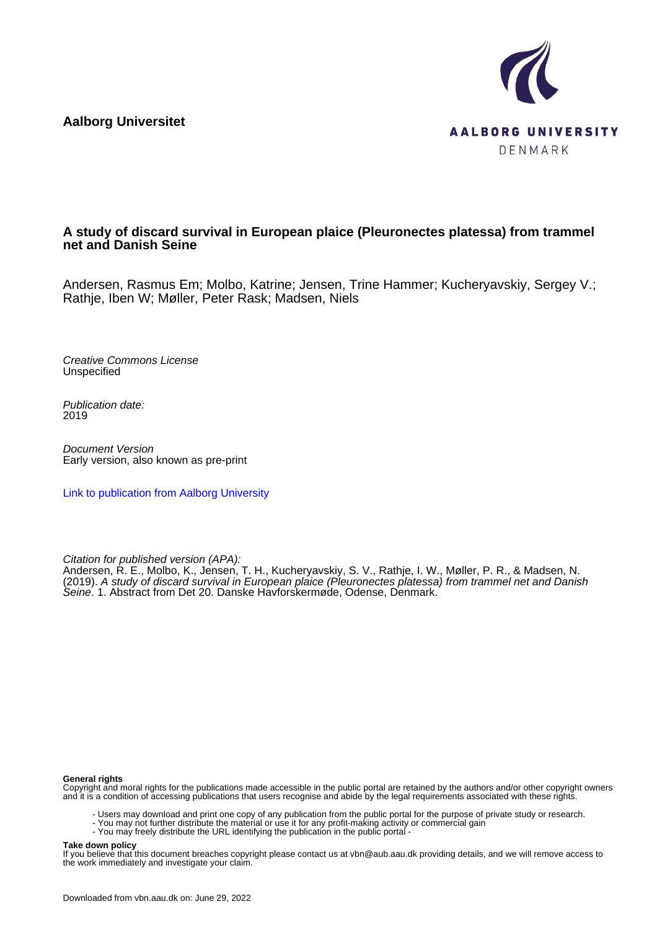**Aalborg Universitet**



## **A study of discard survival in European plaice (Pleuronectes platessa) from trammel net and Danish Seine**

Andersen, Rasmus Em; Molbo, Katrine; Jensen, Trine Hammer; Kucheryavskiy, Sergey V.; Rathje, Iben W; Møller, Peter Rask; Madsen, Niels

Creative Commons License Unspecified

Publication date: 2019

Document Version Early version, also known as pre-print

[Link to publication from Aalborg University](https://vbn.aau.dk/en/publications/c8c6f1b8-d0f3-4299-852f-2453fdc6401d)

Citation for published version (APA):

Andersen, R. E., Molbo, K., Jensen, T. H., Kucheryavskiy, S. V., Rathje, I. W., Møller, P. R., & Madsen, N. (2019). A study of discard survival in European plaice (Pleuronectes platessa) from trammel net and Danish Seine. 1. Abstract from Det 20. Danske Havforskermøde, Odense, Denmark.

## **General rights**

Copyright and moral rights for the publications made accessible in the public portal are retained by the authors and/or other copyright owners and it is a condition of accessing publications that users recognise and abide by the legal requirements associated with these rights.

- Users may download and print one copy of any publication from the public portal for the purpose of private study or research.
- You may not further distribute the material or use it for any profit-making activity or commercial gain
- You may freely distribute the URL identifying the publication in the public portal -

## **Take down policy**

If you believe that this document breaches copyright please contact us at vbn@aub.aau.dk providing details, and we will remove access to the work immediately and investigate your claim.